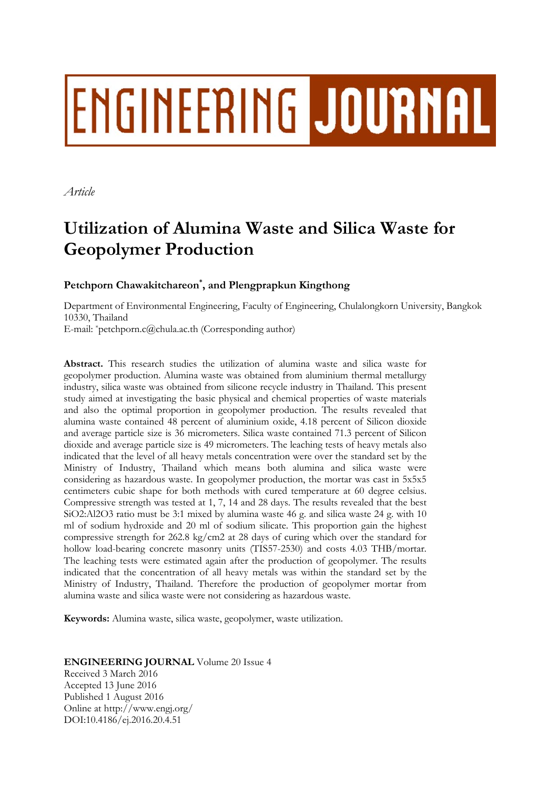# ENGINEERING JOURNAL

*Article* 

# **Utilization of Alumina Waste and Silica Waste for Geopolymer Production**

# **Petchporn Chawakitchareon\* , and Plengprapkun Kingthong**

Department of Environmental Engineering, Faculty of Engineering, Chulalongkorn University, Bangkok 10330, Thailand E-mail: \*petchporn.c@chula.ac.th (Corresponding author)

**Abstract.** This research studies the utilization of alumina waste and silica waste for geopolymer production. Alumina waste was obtained from aluminium thermal metallurgy industry, silica waste was obtained from silicone recycle industry in Thailand. This present study aimed at investigating the basic physical and chemical properties of waste materials and also the optimal proportion in geopolymer production. The results revealed that alumina waste contained 48 percent of aluminium oxide, 4.18 percent of Silicon dioxide and average particle size is 36 micrometers. Silica waste contained 71.3 percent of Silicon dioxide and average particle size is 49 micrometers. The leaching tests of heavy metals also indicated that the level of all heavy metals concentration were over the standard set by the Ministry of Industry, Thailand which means both alumina and silica waste were considering as hazardous waste. In geopolymer production, the mortar was cast in 5x5x5 centimeters cubic shape for both methods with cured temperature at 60 degree celsius. Compressive strength was tested at 1, 7, 14 and 28 days. The results revealed that the best SiO2:Al2O3 ratio must be 3:1 mixed by alumina waste 46 g. and silica waste 24 g. with 10 ml of sodium hydroxide and 20 ml of sodium silicate. This proportion gain the highest compressive strength for  $262.8 \text{ kg/cm2}$  at 28 days of curing which over the standard for hollow load-bearing concrete masonry units (TIS57-2530) and costs 4.03 THB/mortar. The leaching tests were estimated again after the production of geopolymer. The results indicated that the concentration of all heavy metals was within the standard set by the Ministry of Industry, Thailand. Therefore the production of geopolymer mortar from alumina waste and silica waste were not considering as hazardous waste.

**Keywords:** Alumina waste, silica waste, geopolymer, waste utilization.

# **ENGINEERING JOURNAL** Volume 20 Issue 4

Received 3 March 2016 Accepted 13 June 2016 Published 1 August 2016 Online at http://www.engj.org/ DOI:10.4186/ej.2016.20.4.51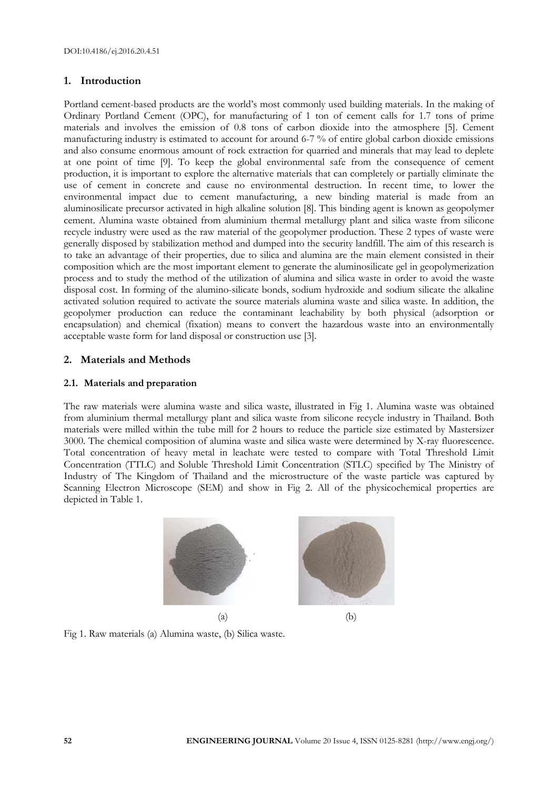# **1. Introduction**

Portland cement-based products are the world's most commonly used building materials. In the making of Ordinary Portland Cement (OPC), for manufacturing of 1 ton of cement calls for 1.7 tons of prime materials and involves the emission of 0.8 tons of carbon dioxide into the atmosphere [5]. Cement manufacturing industry is estimated to account for around 6-7 % of entire global carbon dioxide emissions and also consume enormous amount of rock extraction for quarried and minerals that may lead to deplete at one point of time [9]. To keep the global environmental safe from the consequence of cement production, it is important to explore the alternative materials that can completely or partially eliminate the use of cement in concrete and cause no environmental destruction. In recent time, to lower the environmental impact due to cement manufacturing, a new binding material is made from an aluminosilicate precursor activated in high alkaline solution [8]. This binding agent is known as geopolymer cement. Alumina waste obtained from aluminium thermal metallurgy plant and silica waste from silicone recycle industry were used as the raw material of the geopolymer production. These 2 types of waste were generally disposed by stabilization method and dumped into the security landfill. The aim of this research is to take an advantage of their properties, due to silica and alumina are the main element consisted in their composition which are the most important element to generate the aluminosilicate gel in geopolymerization process and to study the method of the utilization of alumina and silica waste in order to avoid the waste disposal cost. In forming of the alumino-silicate bonds, sodium hydroxide and sodium silicate the alkaline activated solution required to activate the source materials alumina waste and silica waste. In addition, the geopolymer production can reduce the contaminant leachability by both physical (adsorption or encapsulation) and chemical (fixation) means to convert the hazardous waste into an environmentally acceptable waste form for land disposal or construction use [3].

# **2. Materials and Methods**

# **2.1. Materials and preparation**

The raw materials were alumina waste and silica waste, illustrated in Fig 1. Alumina waste was obtained from aluminium thermal metallurgy plant and silica waste from silicone recycle industry in Thailand. Both materials were milled within the tube mill for 2 hours to reduce the particle size estimated by Mastersizer 3000. The chemical composition of alumina waste and silica waste were determined by X-ray fluorescence. Total concentration of heavy metal in leachate were tested to compare with Total Threshold Limit Concentration (TTLC) and Soluble Threshold Limit Concentration (STLC) specified by The Ministry of Industry of The Kingdom of Thailand and the microstructure of the waste particle was captured by Scanning Electron Microscope (SEM) and show in Fig 2. All of the physicochemical properties are depicted in Table 1.



Fig 1. Raw materials (a) Alumina waste, (b) Silica waste.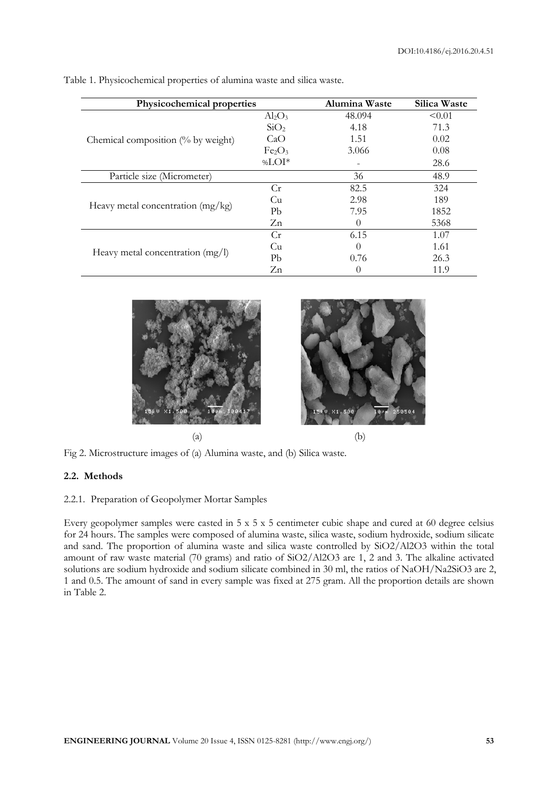| Physicochemical properties                    |                                | Alumina Waste            | Silica Waste |
|-----------------------------------------------|--------------------------------|--------------------------|--------------|
|                                               | $Al_2O_3$                      | 48.094                   | < 0.01       |
|                                               | SiO <sub>2</sub>               | 4.18                     | 71.3         |
| Chemical composition $\frac{0}{6}$ by weight) | CaO                            | 1.51                     | 0.02         |
|                                               | Fe <sub>2</sub> O <sub>3</sub> | 3.066                    | 0.08         |
|                                               | % $LOI^*$                      | $\overline{\phantom{m}}$ | 28.6         |
| Particle size (Micrometer)                    |                                | 36                       | 48.9         |
|                                               | Cr                             | 82.5                     | 324          |
|                                               | Cu                             | 2.98                     | 189          |
| Heavy metal concentration (mg/kg)             | Pb                             | 7.95                     | 1852         |
|                                               | Zn                             | 0                        | 5368         |
|                                               | Cr                             | 6.15                     | 1.07         |
| Heavy metal concentration (mg/l)              | Cu                             | 0                        | 1.61         |
|                                               | Pb                             | 0.76                     | 26.3         |
|                                               | Zn                             | 0                        | 11.9         |

Table 1. Physicochemical properties of alumina waste and silica waste.





Fig 2. Microstructure images of (a) Alumina waste, and (b) Silica waste.

# **2.2. Methods**

# 2.2.1. Preparation of Geopolymer Mortar Samples

Every geopolymer samples were casted in 5 x 5 x 5 centimeter cubic shape and cured at 60 degree celsius for 24 hours. The samples were composed of alumina waste, silica waste, sodium hydroxide, sodium silicate and sand. The proportion of alumina waste and silica waste controlled by SiO2/Al2O3 within the total amount of raw waste material (70 grams) and ratio of SiO2/Al2O3 are 1, 2 and 3. The alkaline activated solutions are sodium hydroxide and sodium silicate combined in 30 ml, the ratios of NaOH/Na2SiO3 are 2, 1 and 0.5. The amount of sand in every sample was fixed at 275 gram. All the proportion details are shown in Table 2.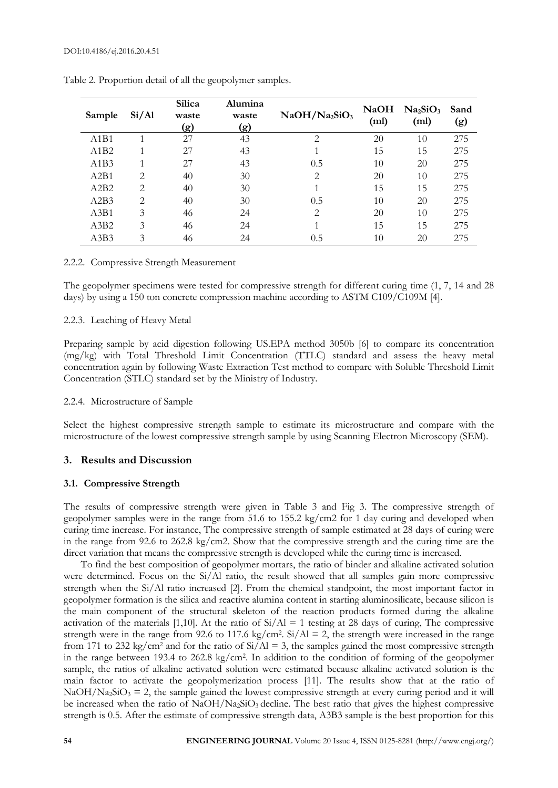| Sample                        | Si/Al                       | <b>Silica</b><br>waste<br>(g) | Alumina<br>waste<br>(g) | $NaOH/Na_2SiO_3$            | NaOH<br>(ml) | Na <sub>2</sub> SiO <sub>3</sub><br>(m <sub>l</sub> ) | Sand<br>(g) |
|-------------------------------|-----------------------------|-------------------------------|-------------------------|-----------------------------|--------------|-------------------------------------------------------|-------------|
| A <sub>1</sub> B <sub>1</sub> |                             | 27                            | 43                      | $\mathfrak{D}$              | 20           | 10                                                    | 275         |
| A1B2                          |                             | 27                            | 43                      |                             | 15           | 15                                                    | 275         |
| A1B3                          |                             | 27                            | 43                      | 0.5                         | 10           | 20                                                    | 275         |
| A2B1                          | $\mathfrak{D}$              | 40                            | 30                      | $\mathcal{D}_{\mathcal{L}}$ | 20           | 10                                                    | 275         |
| A2B2                          | $\mathcal{D}_{\mathcal{L}}$ | 40                            | 30                      |                             | 15           | 15                                                    | 275         |
| A2B3                          | $\mathfrak{D}$              | 40                            | 30                      | 0.5                         | 10           | 20                                                    | 275         |
| A3B1                          | 3                           | 46                            | 24                      | 2                           | 20           | 10                                                    | 275         |
| A3B2                          | 3                           | 46                            | 24                      |                             | 15           | 15                                                    | 275         |
| A3B3                          | 3                           | 46                            | 24                      | 0.5                         | 10           | 20                                                    | 275         |

Table 2. Proportion detail of all the geopolymer samples.

#### 2.2.2. Compressive Strength Measurement

The geopolymer specimens were tested for compressive strength for different curing time (1, 7, 14 and 28 days) by using a 150 ton concrete compression machine according to ASTM C109/C109M [4].

#### 2.2.3. Leaching of Heavy Metal

Preparing sample by acid digestion following US.EPA method 3050b [6] to compare its concentration (mg/kg) with Total Threshold Limit Concentration (TTLC) standard and assess the heavy metal concentration again by following Waste Extraction Test method to compare with Soluble Threshold Limit Concentration (STLC) standard set by the Ministry of Industry.

#### 2.2.4. Microstructure of Sample

Select the highest compressive strength sample to estimate its microstructure and compare with the microstructure of the lowest compressive strength sample by using Scanning Electron Microscopy (SEM).

#### **3. Results and Discussion**

#### **3.1. Compressive Strength**

The results of compressive strength were given in Table 3 and Fig 3. The compressive strength of geopolymer samples were in the range from 51.6 to 155.2 kg/cm2 for 1 day curing and developed when curing time increase. For instance, The compressive strength of sample estimated at 28 days of curing were in the range from 92.6 to 262.8 kg/cm2. Show that the compressive strength and the curing time are the direct variation that means the compressive strength is developed while the curing time is increased.

To find the best composition of geopolymer mortars, the ratio of binder and alkaline activated solution were determined. Focus on the Si/Al ratio, the result showed that all samples gain more compressive strength when the Si/Al ratio increased [2]. From the chemical standpoint, the most important factor in geopolymer formation is the silica and reactive alumina content in starting aluminosilicate, because silicon is the main component of the structural skeleton of the reaction products formed during the alkaline activation of the materials [1,10]. At the ratio of  $Si/Al = 1$  testing at 28 days of curing, The compressive strength were in the range from 92.6 to 117.6 kg/cm<sup>2</sup>. Si/Al = 2, the strength were increased in the range from 171 to 232 kg/cm<sup>2</sup> and for the ratio of Si/Al = 3, the samples gained the most compressive strength in the range between 193.4 to 262.8 kg/cm2. In addition to the condition of forming of the geopolymer sample, the ratios of alkaline activated solution were estimated because alkaline activated solution is the main factor to activate the geopolymerization process [11]. The results show that at the ratio of  $NaOH/Na_2SiO_3 = 2$ , the sample gained the lowest compressive strength at every curing period and it will be increased when the ratio of NaOH/Na<sub>2</sub>SiO<sub>3</sub> decline. The best ratio that gives the highest compressive strength is 0.5. After the estimate of compressive strength data, A3B3 sample is the best proportion for this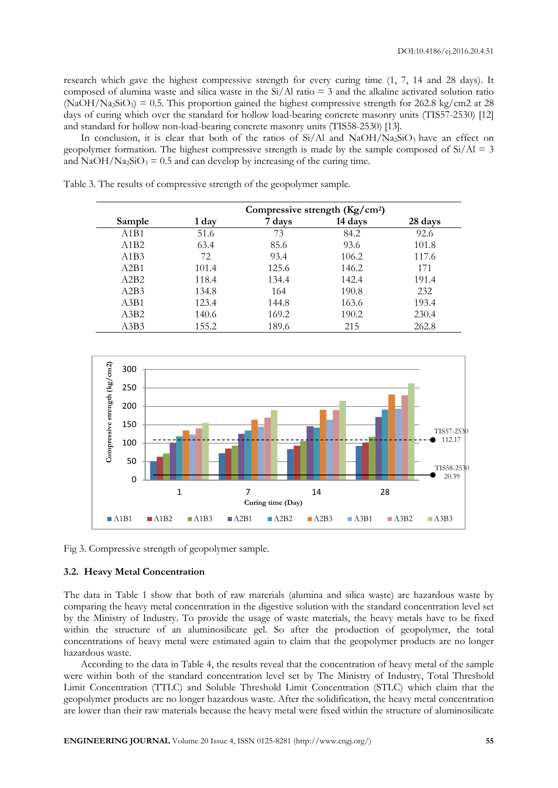research which gave the highest compressive strength for every curing time (1, 7, 14 and 28 days). It composed of alumina waste and silica waste in the  $Si/Al$  ratio = 3 and the alkaline activated solution ratio  $(NaOH/Na_2SiO_3) = 0.5$ . This proportion gained the highest compressive strength for 262.8 kg/cm2 at 28 days of curing which over the standard for hollow load-bearing concrete masonry units (TIS57-2530) [12] and standard for hollow non-load-bearing concrete masonry units (TIS58-2530) [13].

In conclusion, it is clear that both of the ratios of Si/Al and NaOH/Na<sub>2</sub>SiO<sub>3</sub> have an effect on geopolymer formation. The highest compressive strength is made by the sample composed of  $Si/Al = 3$ and  $NaOH/Na_2SiO_3 = 0.5$  and can develop by increasing of the curing time.

Table 3. The results of compressive strength of the geopolymer sample.

|        | Compressive strength $(Kg/cm2)$ |        |         |         |
|--------|---------------------------------|--------|---------|---------|
| Sample | 1 day                           | 7 days | 14 days | 28 days |
| A1B1   | 51.6                            | 73     | 84.2    | 92.6    |
| A1B2   | 63.4                            | 85.6   | 93.6    | 101.8   |
| A1B3   | 72                              | 93.4   | 106.2   | 117.6   |
| A2B1   | 101.4                           | 125.6  | 146.2   | 171     |
| A2B2   | 118.4                           | 134.4  | 142.4   | 191.4   |
| A2B3   | 134.8                           | 164    | 190.8   | 232     |
| A3B1   | 123.4                           | 144.8  | 163.6   | 193.4   |
| A3B2   | 140.6                           | 169.2  | 190.2   | 230.4   |
| A3B3   | 155.2                           | 189.6  | 215     | 262.8   |



Fig 3. Compressive strength of geopolymer sample.

#### **3.2. Heavy Metal Concentration**

The data in Table 1 show that both of raw materials (alumina and silica waste) are hazardous waste by comparing the heavy metal concentration in the digestive solution with the standard concentration level set by the Ministry of Industry. To provide the usage of waste materials, the heavy metals have to be fixed within the structure of an aluminosilicate gel. So after the production of geopolymer, the total concentrations of heavy metal were estimated again to claim that the geopolymer products are no longer hazardous waste.

According to the data in Table 4, the results reveal that the concentration of heavy metal of the sample were within both of the standard concentration level set by The Ministry of Industry, Total Threshold Limit Concentration (TTLC) and Soluble Threshold Limit Concentration (STLC) which claim that the geopolymer products are no longer hazardous waste. After the solidification, the heavy metal concentration are lower than their raw materials because the heavy metal were fixed within the structure of aluminosilicate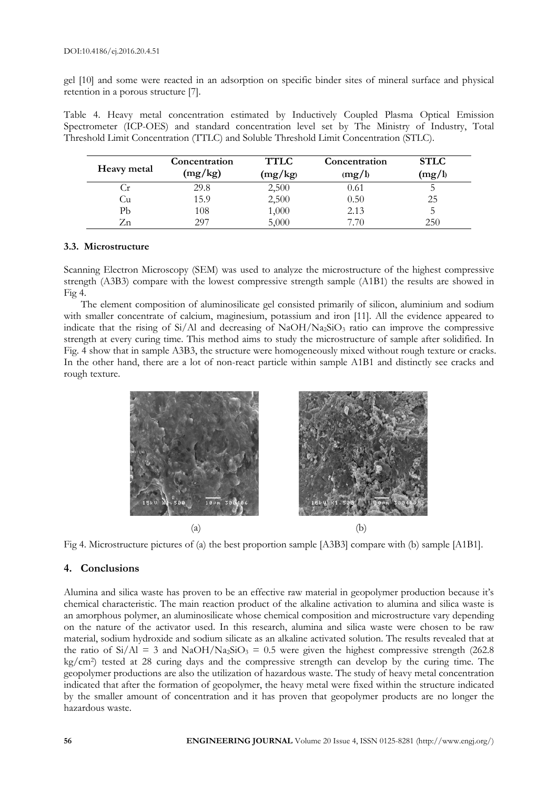gel [10] and some were reacted in an adsorption on specific binder sites of mineral surface and physical retention in a porous structure [7].

Table 4. Heavy metal concentration estimated by Inductively Coupled Plasma Optical Emission Spectrometer (ICP-OES) and standard concentration level set by The Ministry of Industry, Total Threshold Limit Concentration (TTLC) and Soluble Threshold Limit Concentration (STLC).

| Heavy metal | Concentration<br>(mg/kg) | <b>TTLC</b><br>(mg/kg) | Concentration<br>(mg/l) | <b>STLC</b><br>(mg/l) |
|-------------|--------------------------|------------------------|-------------------------|-----------------------|
| $\cdot$ r   | 29.8                     | 2,500                  | 0.61                    |                       |
| ∪ū          | 15.9                     | 2,500                  | 0.50                    | 25                    |
| Рb          | 108                      | 1,000                  | 2.13                    |                       |
| /.n         | 297                      | 5,000                  | 7.70                    | 250                   |

#### **3.3. Microstructure**

Scanning Electron Microscopy (SEM) was used to analyze the microstructure of the highest compressive strength (A3B3) compare with the lowest compressive strength sample (A1B1) the results are showed in Fig 4.

The element composition of aluminosilicate gel consisted primarily of silicon, aluminium and sodium with smaller concentrate of calcium, maginesium, potassium and iron [11]. All the evidence appeared to indicate that the rising of Si/Al and decreasing of NaOH/Na<sub>2</sub>SiO<sub>3</sub> ratio can improve the compressive strength at every curing time. This method aims to study the microstructure of sample after solidified. In Fig. 4 show that in sample A3B3, the structure were homogeneously mixed without rough texture or cracks. In the other hand, there are a lot of non-react particle within sample A1B1 and distinctly see cracks and rough texture.



Fig 4. Microstructure pictures of (a) the best proportion sample [A3B3] compare with (b) sample [A1B1].

# **4. Conclusions**

Alumina and silica waste has proven to be an effective raw material in geopolymer production because it's chemical characteristic. The main reaction product of the alkaline activation to alumina and silica waste is an amorphous polymer, an aluminosilicate whose chemical composition and microstructure vary depending on the nature of the activator used. In this research, alumina and silica waste were chosen to be raw material, sodium hydroxide and sodium silicate as an alkaline activated solution. The results revealed that at the ratio of  $Si/AI = 3$  and  $NaOH/Na_2SiO_3 = 0.5$  were given the highest compressive strength (262.8) kg/cm2) tested at 28 curing days and the compressive strength can develop by the curing time. The geopolymer productions are also the utilization of hazardous waste. The study of heavy metal concentration indicated that after the formation of geopolymer, the heavy metal were fixed within the structure indicated by the smaller amount of concentration and it has proven that geopolymer products are no longer the hazardous waste.